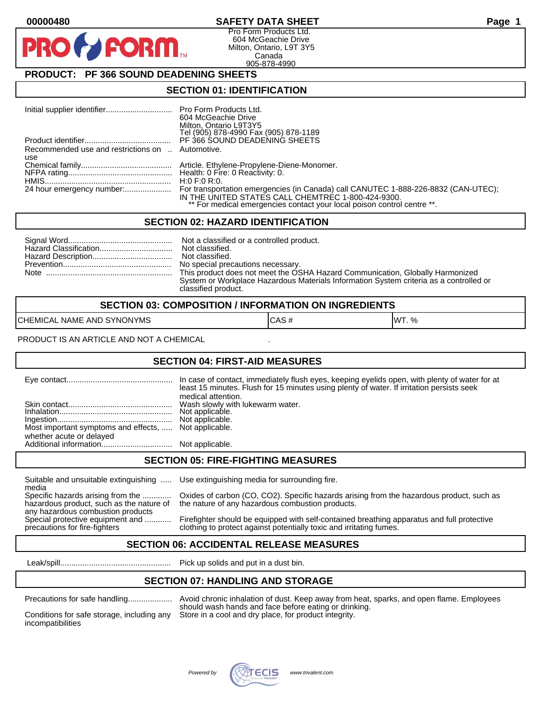### **00000480 SAFETY DATA SHEET Page 1**

Pro Form Products Ltd. 604 McGeachie Drive Milton, Ontario, L9T 3Y5 Canada 905-878-4990

# **PRODUCT: PF 366 SOUND DEADENING SHEETS**

**FORM** 

#### **SECTION 01: IDENTIFICATION**

|                                                  | 604 McGeachie Drive<br>Milton, Ontario L9T3Y5<br>Tel (905) 878-4990 Fax (905) 878-1189 |
|--------------------------------------------------|----------------------------------------------------------------------------------------|
|                                                  | PF 366 SOUND DEADENING SHEETS                                                          |
| Recommended use and restrictions on  Automotive. |                                                                                        |
| use                                              |                                                                                        |
|                                                  |                                                                                        |
|                                                  |                                                                                        |
|                                                  | IN THE UNITED STATES CALL CHEMTREC 1-800-424-9300.                                     |
|                                                  | ** For medical emergencies contact your local poison control centre **.                |

#### **SECTION 02: HAZARD IDENTIFICATION**

| Not classified.                                                                        |
|----------------------------------------------------------------------------------------|
|                                                                                        |
| No special precautions necessary.                                                      |
| This product does not meet the OSHA Hazard Communication, Globally Harmonized          |
| System or Workplace Hazardous Materials Information System criteria as a controlled or |
| classified product.                                                                    |

| <b>SECTION 03: COMPOSITION / INFORMATION ON INGREDIENTS</b> |      |        |
|-------------------------------------------------------------|------|--------|
| CHEMICAL NAME AND SYNONYMS                                  | CAS# | IWT. % |

PRODUCT IS AN ARTICLE AND NOT A CHEMICAL

#### **SECTION 04: FIRST-AID MEASURES**

|                                                                                   | least 15 minutes. Flush for 15 minutes using plenty of water. If irritation persists seek<br>medical attention. |
|-----------------------------------------------------------------------------------|-----------------------------------------------------------------------------------------------------------------|
| Most important symptoms and effects,  Not applicable.<br>whether acute or delayed |                                                                                                                 |
|                                                                                   |                                                                                                                 |

#### **SECTION 05: FIRE-FIGHTING MEASURES**

Suitable and unsuitable extinguishing ..... Use extinguishing media for surrounding fire.

media<br>Specific hazards arising from the ............. hazardous product, such as the nature of the nature of any hazardous combustion products. any hazardous combustion products<br>Special protective equipment and ............

Oxides of carbon (CO, CO2). Specific hazards arising from the hazardous product, such as

Firefighter should be equipped with self-contained breathing apparatus and full protective precautions for fire-fighters clothing to protect against potentially toxic and irritating fumes.

### **SECTION 06: ACCIDENTAL RELEASE MEASURES**

Leak/spill.................................................. Pick up solids and put in a dust bin.

#### **SECTION 07: HANDLING AND STORAGE**

incompatibilities

Precautions for safe handling.................... Avoid chronic inhalation of dust. Keep away from heat, sparks, and open flame. Employees should wash hands and face before eating or drinking. Conditions for safe storage, including any Store in a cool and dry place, for product integrity.

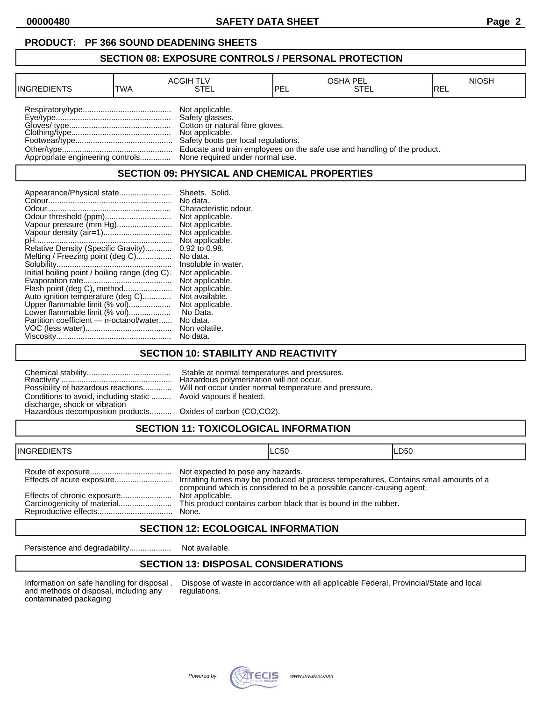**00000480 SAFETY DATA SHEET Page 2**

#### **PRODUCT: PF 366 SOUND DEADENING SHEETS**

#### **SECTION 08: EXPOSURE CONTROLS / PERSONAL PROTECTION**

| <b>IINGREDIENTS</b> | TWA | <b>ACGIH TLV</b><br>STEL                                                                                                                                                                            | 'PEL | <b>OSHA PEL</b><br>STEL                                                  | <b>NIOSH</b><br>IREL |
|---------------------|-----|-----------------------------------------------------------------------------------------------------------------------------------------------------------------------------------------------------|------|--------------------------------------------------------------------------|----------------------|
|                     |     | Not applicable.<br>Safety glasses.<br>Cotton or natural fibre gloves.<br>Not applicable.<br>Safety boots per local regulations.<br>Appropriate engineering controls None required under normal use. |      | Educate and train employees on the safe use and handling of the product. |                      |

#### **SECTION 09: PHYSICAL AND CHEMICAL PROPERTIES**

| Appearance/Physical state                      | Sheets. Solid.        |
|------------------------------------------------|-----------------------|
|                                                | No data.              |
|                                                | Characteristic odour. |
|                                                | Not applicable.       |
| Vapour pressure (mm Hg)                        | Not applicable.       |
|                                                | Not applicable.       |
|                                                | Not applicable.       |
| Relative Density (Specific Gravity)            | 0.92 to 0.98.         |
| Melting / Freezing point (deg C)               | No data.              |
|                                                | Insoluble in water.   |
| Initial boiling point / boiling range (deg C). | Not applicable.       |
|                                                | Not applicable.       |
| Flash point (deg C), method                    | Not applicable.       |
| Auto ignition temperature (deg C)              | Not available.        |
| Upper flammable limit (% vol)                  | Not applicable.       |
| Lower flammable limit (% vol)                  | No Data.              |
| Partition coefficient — n-octanol/water        | No data.              |
|                                                |                       |
|                                                |                       |

#### **SECTION 10: STABILITY AND REACTIVITY**

| Possibility of hazardous reactions                                |  |
|-------------------------------------------------------------------|--|
| Conditions to avoid, including static                             |  |
| discharge, shock or vibratioñ<br>Hazardous decomposition products |  |
|                                                                   |  |

Chemical stability...................................... Stable at normal temperatures and pressures. Hazardous polymerization will not occur. Will not occur under normal temperature and pressure. Avoid vapours if heated.

Oxides of carbon (CO,CO2).

# **SECTION 11: TOXICOLOGICAL INFORMATION**

| <b>INGREDIENTS</b><br>----- | ILC50 | LDS0 |
|-----------------------------|-------|------|
|                             |       |      |

| Not expected to pose any hazards.<br>compound which is considered to be a possible cancer-causing agent. |
|----------------------------------------------------------------------------------------------------------|
|                                                                                                          |

# **SECTION 12: ECOLOGICAL INFORMATION**

Persistence and degradability................... Not available.

### **SECTION 13: DISPOSAL CONSIDERATIONS**

and methods of disposal, including any regulations. contaminated packaging

Information on safe handling for disposal . Dispose of waste in accordance with all applicable Federal, Provincial/State and local and methods of disposal, including any regulations.